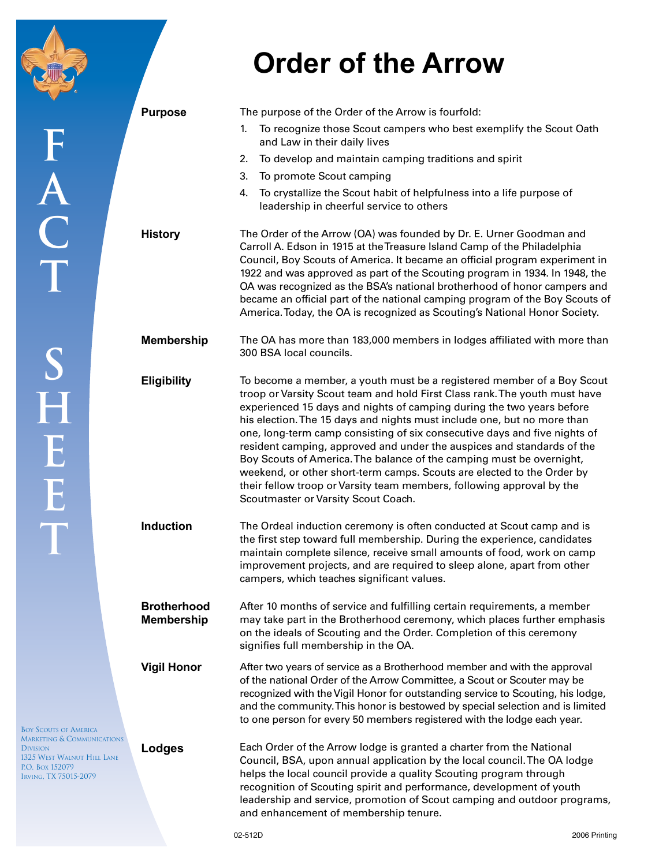## **Order of the Arrow**

|                                                                                                                                    | <b>Purpose</b>                          | The purpose of the Order of the Arrow is fourfold:                                                                                                                                                                                                                                                                                                                                                                                                                                                                                                                                                                                                                                         |
|------------------------------------------------------------------------------------------------------------------------------------|-----------------------------------------|--------------------------------------------------------------------------------------------------------------------------------------------------------------------------------------------------------------------------------------------------------------------------------------------------------------------------------------------------------------------------------------------------------------------------------------------------------------------------------------------------------------------------------------------------------------------------------------------------------------------------------------------------------------------------------------------|
|                                                                                                                                    |                                         | To recognize those Scout campers who best exemplify the Scout Oath<br>1.<br>and Law in their daily lives                                                                                                                                                                                                                                                                                                                                                                                                                                                                                                                                                                                   |
|                                                                                                                                    |                                         | To develop and maintain camping traditions and spirit<br>2.                                                                                                                                                                                                                                                                                                                                                                                                                                                                                                                                                                                                                                |
|                                                                                                                                    |                                         | To promote Scout camping<br>3.                                                                                                                                                                                                                                                                                                                                                                                                                                                                                                                                                                                                                                                             |
|                                                                                                                                    |                                         | To crystallize the Scout habit of helpfulness into a life purpose of<br>4.<br>leadership in cheerful service to others                                                                                                                                                                                                                                                                                                                                                                                                                                                                                                                                                                     |
| A<br>C<br>T                                                                                                                        | <b>History</b>                          | The Order of the Arrow (OA) was founded by Dr. E. Urner Goodman and<br>Carroll A. Edson in 1915 at the Treasure Island Camp of the Philadelphia<br>Council, Boy Scouts of America. It became an official program experiment in<br>1922 and was approved as part of the Scouting program in 1934. In 1948, the<br>OA was recognized as the BSA's national brotherhood of honor campers and<br>became an official part of the national camping program of the Boy Scouts of<br>America. Today, the OA is recognized as Scouting's National Honor Society.                                                                                                                                    |
|                                                                                                                                    | <b>Membership</b>                       | The OA has more than 183,000 members in lodges affiliated with more than<br>300 BSA local councils.                                                                                                                                                                                                                                                                                                                                                                                                                                                                                                                                                                                        |
| S<br>H<br>E<br>E<br>T                                                                                                              | <b>Eligibility</b>                      | To become a member, a youth must be a registered member of a Boy Scout<br>troop or Varsity Scout team and hold First Class rank. The youth must have<br>experienced 15 days and nights of camping during the two years before<br>his election. The 15 days and nights must include one, but no more than<br>one, long-term camp consisting of six consecutive days and five nights of<br>resident camping, approved and under the auspices and standards of the<br>Boy Scouts of America. The balance of the camping must be overnight,<br>weekend, or other short-term camps. Scouts are elected to the Order by<br>their fellow troop or Varsity team members, following approval by the |
|                                                                                                                                    | <b>Induction</b>                        | Scoutmaster or Varsity Scout Coach.<br>The Ordeal induction ceremony is often conducted at Scout camp and is<br>the first step toward full membership. During the experience, candidates<br>maintain complete silence, receive small amounts of food, work on camp<br>improvement projects, and are required to sleep alone, apart from other<br>campers, which teaches significant values.                                                                                                                                                                                                                                                                                                |
|                                                                                                                                    | <b>Brotherhood</b><br><b>Membership</b> | After 10 months of service and fulfilling certain requirements, a member<br>may take part in the Brotherhood ceremony, which places further emphasis<br>on the ideals of Scouting and the Order. Completion of this ceremony<br>signifies full membership in the OA.                                                                                                                                                                                                                                                                                                                                                                                                                       |
| <b>BOY SCOUTS OF AMERICA</b>                                                                                                       | <b>Vigil Honor</b>                      | After two years of service as a Brotherhood member and with the approval<br>of the national Order of the Arrow Committee, a Scout or Scouter may be<br>recognized with the Vigil Honor for outstanding service to Scouting, his lodge,<br>and the community. This honor is bestowed by special selection and is limited<br>to one person for every 50 members registered with the lodge each year.                                                                                                                                                                                                                                                                                         |
| <b>MARKETING &amp; COMMUNICATIONS</b><br><b>DIVISION</b><br>1325 WEST WALNUT HILL LANE<br>P.O. Box 152079<br>IRVING, TX 75015-2079 | Lodges                                  | Each Order of the Arrow lodge is granted a charter from the National<br>Council, BSA, upon annual application by the local council. The OA lodge<br>helps the local council provide a quality Scouting program through<br>recognition of Scouting spirit and performance, development of youth                                                                                                                                                                                                                                                                                                                                                                                             |

leadership and service, promotion of Scout camping and outdoor programs,

and enhancement of membership tenure.